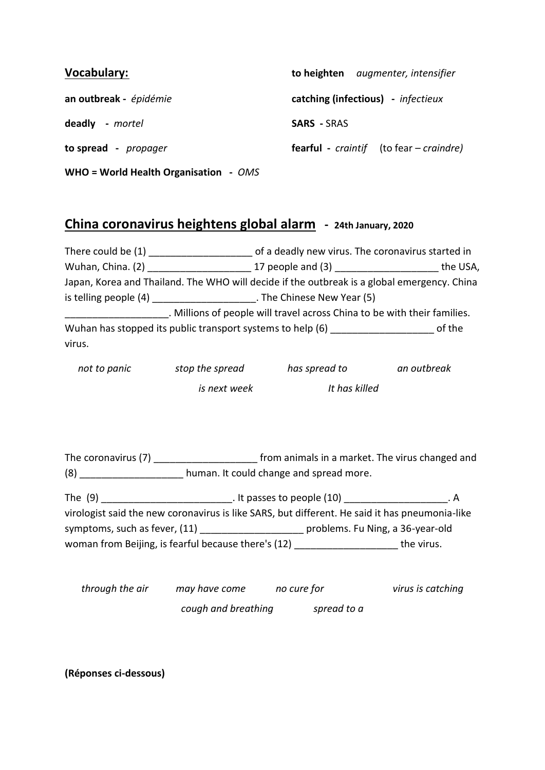| <b>Vocabulary:</b>                    | to heighten augmenter, intensifier                            |  |
|---------------------------------------|---------------------------------------------------------------|--|
| an outbreak - épidémie                | catching (infectious) - infectieux                            |  |
| deadly - mortel                       | <b>SARS</b> - SRAS                                            |  |
| to spread - propager                  | <b>fearful</b> - <i>craintif</i> (to fear – <i>craindre</i> ) |  |
| WHO = World Health Organisation - OMS |                                                               |  |

## **China coronavirus heightens global alarm - 24th January, 2020**

|        | There could be (1) ________________________ of a deadly new virus. The coronavirus started in  |                                                                                                |                                                                                             |  |
|--------|------------------------------------------------------------------------------------------------|------------------------------------------------------------------------------------------------|---------------------------------------------------------------------------------------------|--|
|        |                                                                                                |                                                                                                |                                                                                             |  |
|        |                                                                                                |                                                                                                | Japan, Korea and Thailand. The WHO will decide if the outbreak is a global emergency. China |  |
|        | is telling people (4) ______________________. The Chinese New Year (5)                         |                                                                                                |                                                                                             |  |
|        |                                                                                                | ______________________. Millions of people will travel across China to be with their families. |                                                                                             |  |
|        | Wuhan has stopped its public transport systems to help (6) _____________________ of the        |                                                                                                |                                                                                             |  |
| virus. |                                                                                                |                                                                                                |                                                                                             |  |
|        |                                                                                                | not to panic stop the spread has spread to an outbreak                                         |                                                                                             |  |
|        | is next week lt has killed                                                                     |                                                                                                |                                                                                             |  |
|        |                                                                                                |                                                                                                |                                                                                             |  |
|        | The coronavirus (7) __________________________ from animals in a market. The virus changed and |                                                                                                |                                                                                             |  |
|        | (8) _____________________ human. It could change and spread more.                              |                                                                                                |                                                                                             |  |
|        | The (9) _______________________________. It passes to people (10) _____________________. A     |                                                                                                |                                                                                             |  |
|        |                                                                                                | virologist said the new coronavirus is like SARS, but different. He said it has pneumonia-like |                                                                                             |  |
|        |                                                                                                | symptoms, such as fever, (11) _________________________ problems. Fu Ning, a 36-year-old       |                                                                                             |  |
|        |                                                                                                | woman from Beijing, is fearful because there's (12) ________________________ the virus.        |                                                                                             |  |
|        |                                                                                                | through the air and may have come the cure for the control of the virus is catching            |                                                                                             |  |

*cough and breathing spread to a*

**(Réponses ci-dessous)**